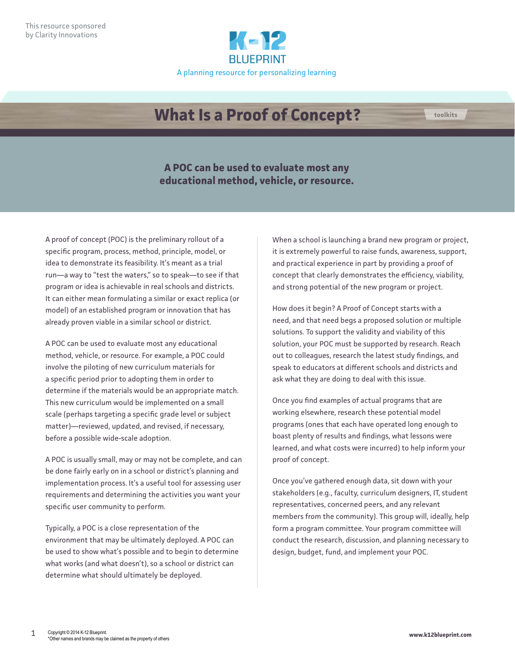

## **What Is a Proof of Concept? the about toolkits**

**A POC can be used to evaluate most any educational method, vehicle, or resource.** 

A proof of concept (POC) is the preliminary rollout of a specific program, process, method, principle, model, or idea to demonstrate its feasibility. It's meant as a trial run—a way to "test the waters," so to speak—to see if that program or idea is achievable in real schools and districts. It can either mean formulating a similar or exact replica (or model) of an established program or innovation that has already proven viable in a similar school or district.

A POC can be used to evaluate most any educational method, vehicle, or resource. For example, a POC could involve the piloting of new curriculum materials for a specific period prior to adopting them in order to determine if the materials would be an appropriate match. This new curriculum would be implemented on a small scale (perhaps targeting a specific grade level or subject matter)—reviewed, updated, and revised, if necessary, before a possible wide-scale adoption.

A POC is usually small, may or may not be complete, and can be done fairly early on in a school or district's planning and implementation process. It's a useful tool for assessing user requirements and determining the activities you want your specific user community to perform.

Typically, a POC is a close representation of the environment that may be ultimately deployed. A POC can be used to show what's possible and to begin to determine what works (and what doesn't), so a school or district can determine what should ultimately be deployed.

When a school is launching a brand new program or project, it is extremely powerful to raise funds, awareness, support, and practical experience in part by providing a proof of concept that clearly demonstrates the efficiency, viability, and strong potential of the new program or project.

How does it begin? A Proof of Concept starts with a need, and that need begs a proposed solution or multiple solutions. To support the validity and viability of this solution, your POC must be supported by research. Reach out to colleagues, research the latest study findings, and speak to educators at different schools and districts and ask what they are doing to deal with this issue.

Once you find examples of actual programs that are working elsewhere, research these potential model programs (ones that each have operated long enough to boast plenty of results and findings, what lessons were learned, and what costs were incurred) to help inform your proof of concept.

Once you've gathered enough data, sit down with your stakeholders (e.g., faculty, curriculum designers, IT, student representatives, concerned peers, and any relevant members from the community). This group will, ideally, help form a program committee. Your program committee will conduct the research, discussion, and planning necessary to design, budget, fund, and implement your POC.